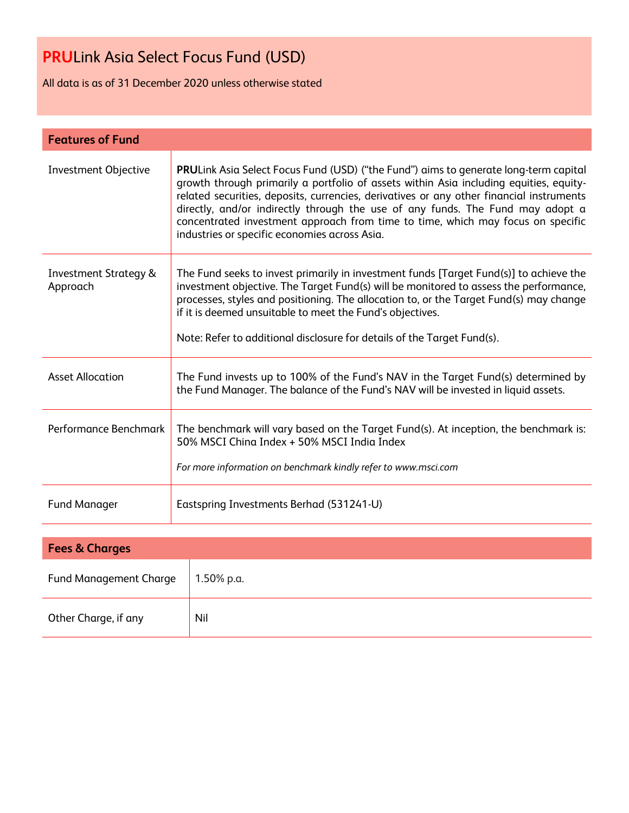All data is as of 31 December 2020 unless otherwise stated

| <b>Features of Fund</b>                      |                                                                                                                                                                                                                                                                                                                                                                                                                                                                                                         |  |  |
|----------------------------------------------|---------------------------------------------------------------------------------------------------------------------------------------------------------------------------------------------------------------------------------------------------------------------------------------------------------------------------------------------------------------------------------------------------------------------------------------------------------------------------------------------------------|--|--|
| <b>Investment Objective</b>                  | <b>PRULink Asia Select Focus Fund (USD) ("the Fund") aims to generate long-term capital</b><br>growth through primarily a portfolio of assets within Asia including equities, equity-<br>related securities, deposits, currencies, derivatives or any other financial instruments<br>directly, and/or indirectly through the use of any funds. The Fund may adopt a<br>concentrated investment approach from time to time, which may focus on specific<br>industries or specific economies across Asia. |  |  |
| <b>Investment Strategy &amp;</b><br>Approach | The Fund seeks to invest primarily in investment funds [Target Fund(s)] to achieve the<br>investment objective. The Target Fund(s) will be monitored to assess the performance,<br>processes, styles and positioning. The allocation to, or the Target Fund(s) may change<br>if it is deemed unsuitable to meet the Fund's objectives.<br>Note: Refer to additional disclosure for details of the Target Fund(s).                                                                                       |  |  |
| <b>Asset Allocation</b>                      | The Fund invests up to 100% of the Fund's NAV in the Target Fund(s) determined by<br>the Fund Manager. The balance of the Fund's NAV will be invested in liquid assets.                                                                                                                                                                                                                                                                                                                                 |  |  |
| Performance Benchmark                        | The benchmark will vary based on the Target Fund(s). At inception, the benchmark is:<br>50% MSCI China Index + 50% MSCI India Index<br>For more information on benchmark kindly refer to www.msci.com                                                                                                                                                                                                                                                                                                   |  |  |
| <b>Fund Manager</b>                          | Eastspring Investments Berhad (531241-U)                                                                                                                                                                                                                                                                                                                                                                                                                                                                |  |  |
| <b>Fees &amp; Charges</b>                    |                                                                                                                                                                                                                                                                                                                                                                                                                                                                                                         |  |  |
|                                              |                                                                                                                                                                                                                                                                                                                                                                                                                                                                                                         |  |  |

| <b>Fund Management Charge</b> | $1.50\%$ p.a. |
|-------------------------------|---------------|
| Other Charge, if any          | Nil           |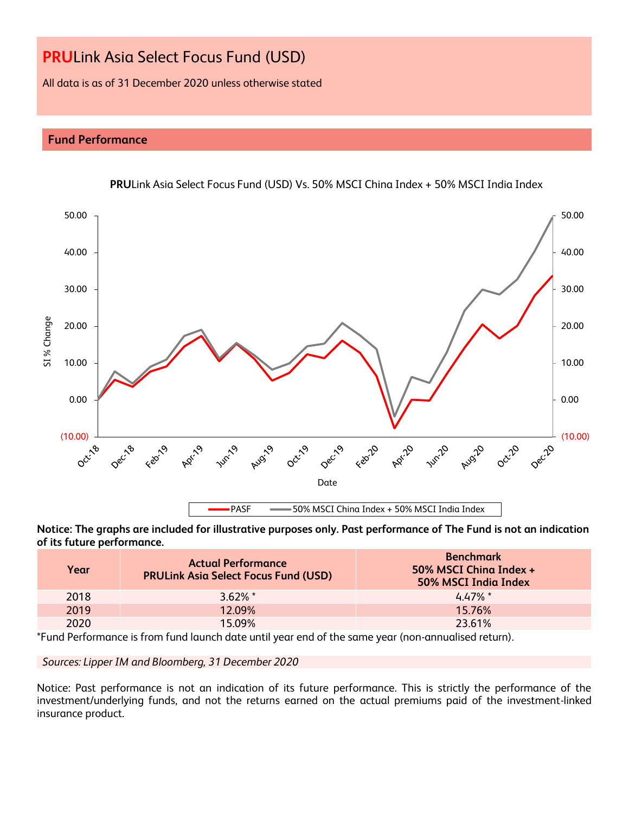All data is as of 31 December 2020 unless otherwise stated

# **Fund Performance**



**PRU**Link Asia Select Focus Fund (USD) Vs. 50% MSCI China Index + 50% MSCI India Index

**Notice: The graphs are included for illustrative purposes only. Past performance of The Fund is not an indication of its future performance.**

| Year | <b>Actual Performance</b><br><b>PRULInk Asia Select Focus Fund (USD)</b> | <b>Benchmark</b><br>50% MSCI Ching Index +<br>50% MSCI India Index |
|------|--------------------------------------------------------------------------|--------------------------------------------------------------------|
| 2018 | $3.62\%$ *                                                               | $4.47\%$ *                                                         |
| 2019 | 12.09%                                                                   | 15.76%                                                             |
| 2020 | 15.09%                                                                   | 23.61%                                                             |

\*Fund Performance is from fund launch date until year end of the same year (non-annualised return).

*Sources: Lipper IM and Bloomberg, 31 December 2020*

Notice: Past performance is not an indication of its future performance. This is strictly the performance of the investment/underlying funds, and not the returns earned on the actual premiums paid of the investment-linked insurance product.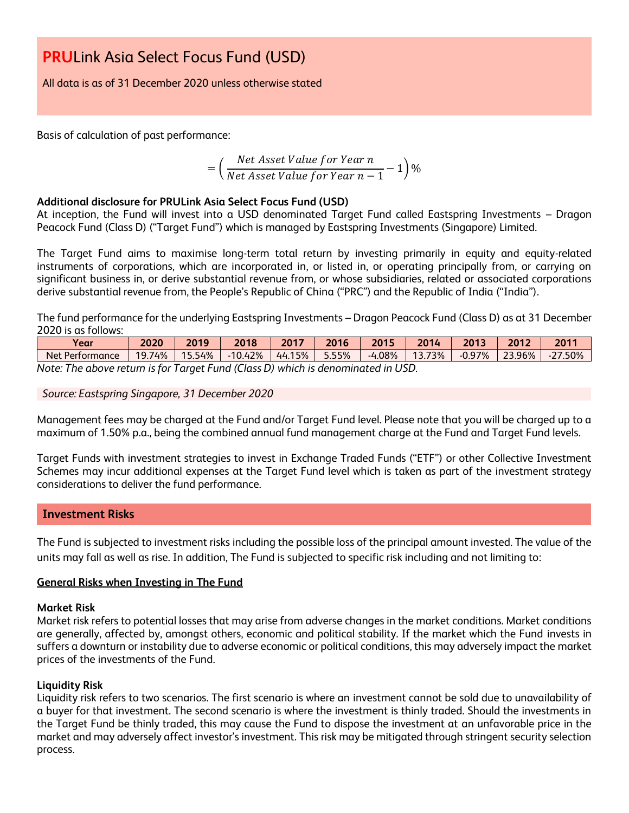All data is as of 31 December 2020 unless otherwise stated

Basis of calculation of past performance:

$$
= \left(\frac{Net\ Asset\ Value\ for\ Year\ n}{Net\ Asset\ Value\ for\ Year\ n-1} - 1\right)\%
$$

## **Additional disclosure for PRULink Asia Select Focus Fund (USD)**

At inception, the Fund will invest into a USD denominated Target Fund called Eastspring Investments – Dragon Peacock Fund (Class D) ("Target Fund") which is managed by Eastspring Investments (Singapore) Limited.

The Target Fund aims to maximise long-term total return by investing primarily in equity and equity-related instruments of corporations, which are incorporated in, or listed in, or operating principally from, or carrying on significant business in, or derive substantial revenue from, or whose subsidiaries, related or associated corporations derive substantial revenue from, the People's Republic of China ("PRC") and the Republic of India ("India").

The fund performance for the underlying Eastspring Investments – Dragon Peacock Fund (Class D) as at 31 December 2020 is as follows:

| Vear                                                                            | 2020   | 2019   | 2018      | 2017   | 2016  | 2015     | 2014   | 2013     | 2012   | 2011      |
|---------------------------------------------------------------------------------|--------|--------|-----------|--------|-------|----------|--------|----------|--------|-----------|
| Net Performance                                                                 | 19.74% | 15.54% | $-10.42%$ | 44.15% | 5.55% | $-4.08%$ | 13.73% | $-0.97%$ | 23.96% | $-27.50%$ |
| Note: The shave return is far Taroet Eund (Class D) which is denominated in UCD |        |        |           |        |       |          |        |          |        |           |

*Note: The above return is for Target Fund (Class D) which is denominated in USD.*

#### *Source: Eastspring Singapore, 31 December 2020*

Management fees may be charged at the Fund and/or Target Fund level. Please note that you will be charged up to a maximum of 1.50% p.a., being the combined annual fund management charge at the Fund and Target Fund levels.

Target Funds with investment strategies to invest in Exchange Traded Funds ("ETF") or other Collective Investment Schemes may incur additional expenses at the Target Fund level which is taken as part of the investment strategy considerations to deliver the fund performance.

# **Investment Risks**

The Fund is subjected to investment risks including the possible loss of the principal amount invested. The value of the units may fall as well as rise. In addition, The Fund is subjected to specific risk including and not limiting to:

#### **General Risks when Investing in The Fund**

#### **Market Risk**

Market risk refers to potential losses that may arise from adverse changes in the market conditions. Market conditions are generally, affected by, amongst others, economic and political stability. If the market which the Fund invests in suffers a downturn or instability due to adverse economic or political conditions, this may adversely impact the market prices of the investments of the Fund.

#### **Liquidity Risk**

Liquidity risk refers to two scenarios. The first scenario is where an investment cannot be sold due to unavailability of a buyer for that investment. The second scenario is where the investment is thinly traded. Should the investments in the Target Fund be thinly traded, this may cause the Fund to dispose the investment at an unfavorable price in the market and may adversely affect investor's investment. This risk may be mitigated through stringent security selection process.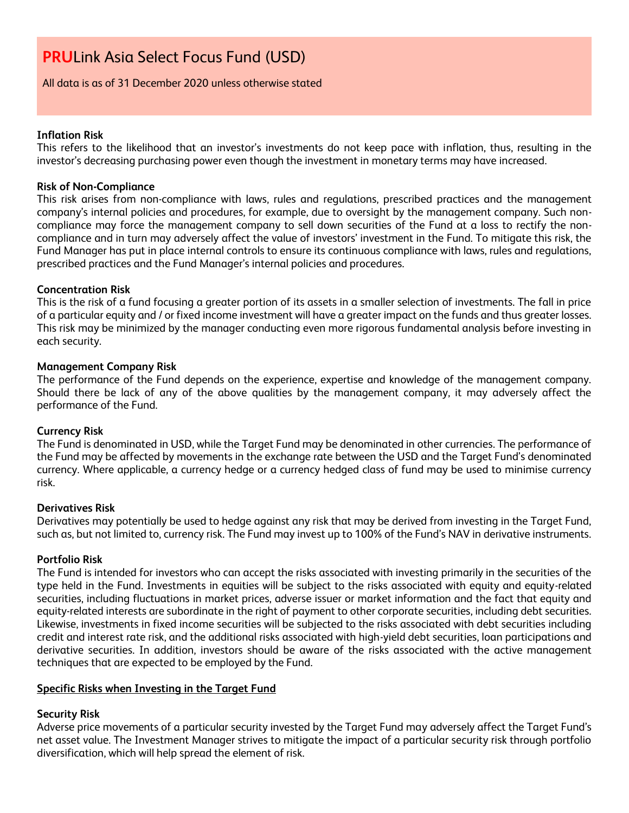### All data is as of 31 December 2020 unless otherwise stated

### **Inflation Risk**

This refers to the likelihood that an investor's investments do not keep pace with inflation, thus, resulting in the investor's decreasing purchasing power even though the investment in monetary terms may have increased.

## **Risk of Non-Compliance**

This risk arises from non-compliance with laws, rules and regulations, prescribed practices and the management company's internal policies and procedures, for example, due to oversight by the management company. Such noncompliance may force the management company to sell down securities of the Fund at a loss to rectify the noncompliance and in turn may adversely affect the value of investors' investment in the Fund. To mitigate this risk, the Fund Manager has put in place internal controls to ensure its continuous compliance with laws, rules and regulations, prescribed practices and the Fund Manager's internal policies and procedures.

## **Concentration Risk**

This is the risk of a fund focusing a greater portion of its assets in a smaller selection of investments. The fall in price of a particular equity and / or fixed income investment will have a greater impact on the funds and thus greater losses. This risk may be minimized by the manager conducting even more rigorous fundamental analysis before investing in each security.

## **Management Company Risk**

The performance of the Fund depends on the experience, expertise and knowledge of the management company. Should there be lack of any of the above qualities by the management company, it may adversely affect the performance of the Fund.

#### **Currency Risk**

The Fund is denominated in USD, while the Target Fund may be denominated in other currencies. The performance of the Fund may be affected by movements in the exchange rate between the USD and the Target Fund's denominated currency. Where applicable, a currency hedge or a currency hedged class of fund may be used to minimise currency risk.

#### **Derivatives Risk**

Derivatives may potentially be used to hedge against any risk that may be derived from investing in the Target Fund, such as, but not limited to, currency risk. The Fund may invest up to 100% of the Fund's NAV in derivative instruments.

#### **Portfolio Risk**

The Fund is intended for investors who can accept the risks associated with investing primarily in the securities of the type held in the Fund. Investments in equities will be subject to the risks associated with equity and equity-related securities, including fluctuations in market prices, adverse issuer or market information and the fact that equity and equity-related interests are subordinate in the right of payment to other corporate securities, including debt securities. Likewise, investments in fixed income securities will be subjected to the risks associated with debt securities including credit and interest rate risk, and the additional risks associated with high-yield debt securities, loan participations and derivative securities. In addition, investors should be aware of the risks associated with the active management techniques that are expected to be employed by the Fund.

#### **Specific Risks when Investing in the Target Fund**

# **Security Risk**

Adverse price movements of a particular security invested by the Target Fund may adversely affect the Target Fund's net asset value. The Investment Manager strives to mitigate the impact of a particular security risk through portfolio diversification, which will help spread the element of risk.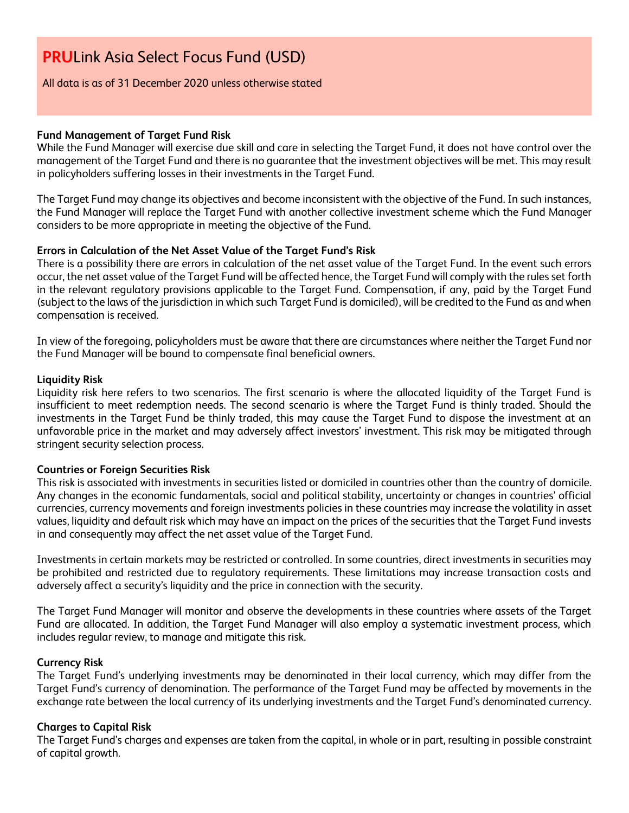#### All data is as of 31 December 2020 unless otherwise stated

### **Fund Management of Target Fund Risk**

While the Fund Manager will exercise due skill and care in selecting the Target Fund, it does not have control over the management of the Target Fund and there is no guarantee that the investment objectives will be met. This may result in policyholders suffering losses in their investments in the Target Fund.

The Target Fund may change its objectives and become inconsistent with the objective of the Fund. In such instances, the Fund Manager will replace the Target Fund with another collective investment scheme which the Fund Manager considers to be more appropriate in meeting the objective of the Fund.

## **Errors in Calculation of the Net Asset Value of the Target Fund's Risk**

There is a possibility there are errors in calculation of the net asset value of the Target Fund. In the event such errors occur, the net asset value of the Target Fund will be affected hence, the Target Fund will comply with the rules set forth in the relevant regulatory provisions applicable to the Target Fund. Compensation, if any, paid by the Target Fund (subject to the laws of the jurisdiction in which such Target Fund is domiciled), will be credited to the Fund as and when compensation is received.

In view of the foregoing, policyholders must be aware that there are circumstances where neither the Target Fund nor the Fund Manager will be bound to compensate final beneficial owners.

#### **Liquidity Risk**

Liquidity risk here refers to two scenarios. The first scenario is where the allocated liquidity of the Target Fund is insufficient to meet redemption needs. The second scenario is where the Target Fund is thinly traded. Should the investments in the Target Fund be thinly traded, this may cause the Target Fund to dispose the investment at an unfavorable price in the market and may adversely affect investors' investment. This risk may be mitigated through stringent security selection process.

#### **Countries or Foreign Securities Risk**

This risk is associated with investments in securities listed or domiciled in countries other than the country of domicile. Any changes in the economic fundamentals, social and political stability, uncertainty or changes in countries' official currencies, currency movements and foreign investments policies in these countries may increase the volatility in asset values, liquidity and default risk which may have an impact on the prices of the securities that the Target Fund invests in and consequently may affect the net asset value of the Target Fund.

Investments in certain markets may be restricted or controlled. In some countries, direct investments in securities may be prohibited and restricted due to regulatory requirements. These limitations may increase transaction costs and adversely affect a security's liquidity and the price in connection with the security.

The Target Fund Manager will monitor and observe the developments in these countries where assets of the Target Fund are allocated. In addition, the Target Fund Manager will also employ a systematic investment process, which includes regular review, to manage and mitigate this risk.

#### **Currency Risk**

The Target Fund's underlying investments may be denominated in their local currency, which may differ from the Target Fund's currency of denomination. The performance of the Target Fund may be affected by movements in the exchange rate between the local currency of its underlying investments and the Target Fund's denominated currency.

#### **Charges to Capital Risk**

The Target Fund's charges and expenses are taken from the capital, in whole or in part, resulting in possible constraint of capital growth.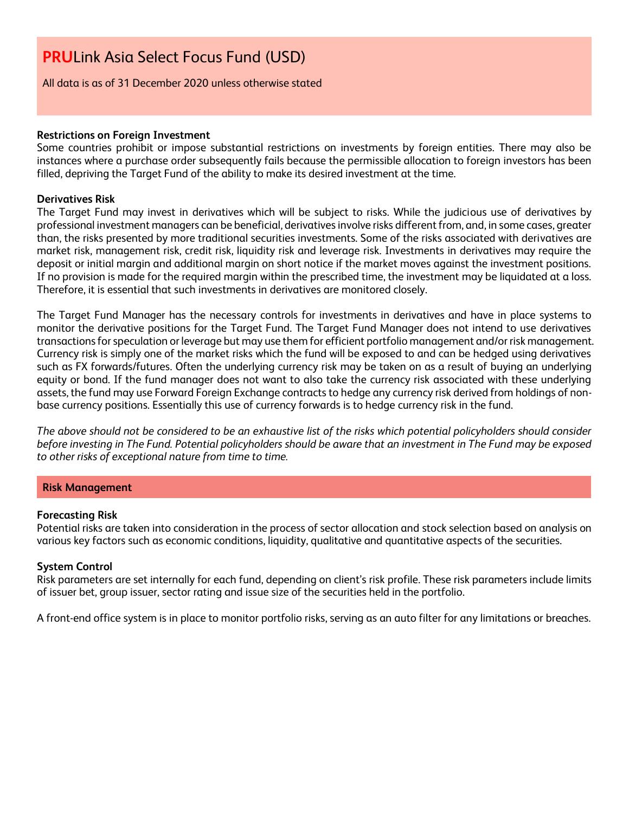All data is as of 31 December 2020 unless otherwise stated

#### **Restrictions on Foreign Investment**

Some countries prohibit or impose substantial restrictions on investments by foreign entities. There may also be instances where a purchase order subsequently fails because the permissible allocation to foreign investors has been filled, depriving the Target Fund of the ability to make its desired investment at the time.

#### **Derivatives Risk**

The Target Fund may invest in derivatives which will be subject to risks. While the judicious use of derivatives by professional investment managers can be beneficial, derivatives involve risks different from, and, in some cases, greater than, the risks presented by more traditional securities investments. Some of the risks associated with derivatives are market risk, management risk, credit risk, liquidity risk and leverage risk. Investments in derivatives may require the deposit or initial margin and additional margin on short notice if the market moves against the investment positions. If no provision is made for the required margin within the prescribed time, the investment may be liquidated at a loss. Therefore, it is essential that such investments in derivatives are monitored closely.

The Target Fund Manager has the necessary controls for investments in derivatives and have in place systems to monitor the derivative positions for the Target Fund. The Target Fund Manager does not intend to use derivatives transactions for speculation or leverage but may use them for efficient portfolio management and/or risk management. Currency risk is simply one of the market risks which the fund will be exposed to and can be hedged using derivatives such as FX forwards/futures. Often the underlying currency risk may be taken on as a result of buying an underlying equity or bond. If the fund manager does not want to also take the currency risk associated with these underlying assets, the fund may use Forward Foreign Exchange contracts to hedge any currency risk derived from holdings of nonbase currency positions. Essentially this use of currency forwards is to hedge currency risk in the fund.

*The above should not be considered to be an exhaustive list of the risks which potential policyholders should consider before investing in The Fund. Potential policyholders should be aware that an investment in The Fund may be exposed to other risks of exceptional nature from time to time.*

#### **Risk Management**

#### **Forecasting Risk**

Potential risks are taken into consideration in the process of sector allocation and stock selection based on analysis on various key factors such as economic conditions, liquidity, qualitative and quantitative aspects of the securities.

#### **System Control**

Risk parameters are set internally for each fund, depending on client's risk profile. These risk parameters include limits of issuer bet, group issuer, sector rating and issue size of the securities held in the portfolio.

A front-end office system is in place to monitor portfolio risks, serving as an auto filter for any limitations or breaches.